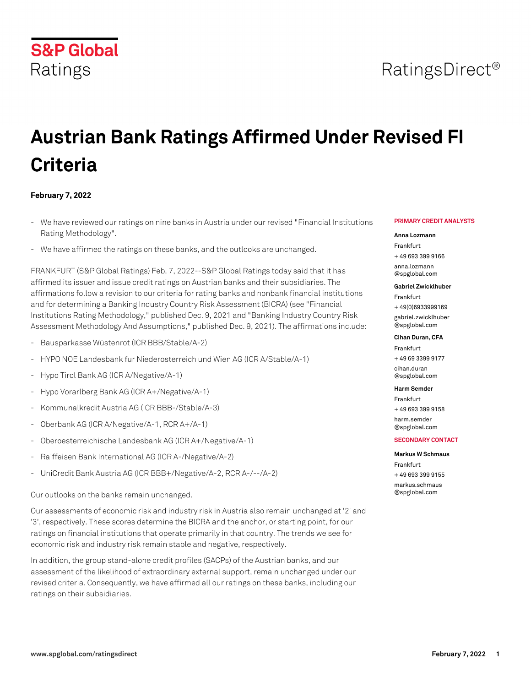# **S&P Global**

# **Austrian Bank Ratings Affirmed Under Revised FI Criteria**

#### **February 7, 2022**

Ratings

- We have reviewed our ratings on nine banks in Austria under our revised "Financial Institutions Rating Methodology".
- We have affirmed the ratings on these banks, and the outlooks are unchanged.

FRANKFURT (S&P Global Ratings) Feb. 7, 2022--S&P Global Ratings today said that it has affirmed its issuer and issue credit ratings on Austrian banks and their subsidiaries. The affirmations follow a revision to our criteria for rating banks and nonbank financial institutions and for determining a Banking Industry Country Risk Assessment (BICRA) (see "Financial Institutions Rating Methodology," published Dec. 9, 2021 and "Banking Industry Country Risk Assessment Methodology And Assumptions," published Dec. 9, 2021). The affirmations include:

- Bausparkasse Wüstenrot (ICR BBB/Stable/A-2)
- HYPO NOE Landesbank fur Niederosterreich und Wien AG (ICR A/Stable/A-1)
- Hypo Tirol Bank AG (ICR A/Negative/A-1)
- Hypo Vorarlberg Bank AG (ICR A+/Negative/A-1)
- Kommunalkredit Austria AG (ICR BBB-/Stable/A-3)
- Oberbank AG (ICR A/Negative/A-1, RCR A+/A-1)
- Oberoesterreichische Landesbank AG (ICR A+/Negative/A-1)
- Raiffeisen Bank International AG (ICR A-/Negative/A-2)
- UniCredit Bank Austria AG (ICR BBB+/Negative/A-2, RCR A-/--/A-2)

Our outlooks on the banks remain unchanged.

Our assessments of economic risk and industry risk in Austria also remain unchanged at '2' and '3', respectively. These scores determine the BICRA and the anchor, or starting point, for our ratings on financial institutions that operate primarily in that country. The trends we see for economic risk and industry risk remain stable and negative, respectively.

In addition, the group stand-alone credit profiles (SACPs) of the Austrian banks, and our assessment of the likelihood of extraordinary external support, remain unchanged under our revised criteria. Consequently, we have affirmed all our ratings on these banks, including our ratings on their subsidiaries.

#### **PRIMARY CREDIT ANALYSTS**

#### **Anna Lozmann**

Frankfurt + 49 693 399 9166 [anna.lozmann](mailto: anna.lozmann@spglobal.com)

[@spglobal.com](mailto: anna.lozmann@spglobal.com)

#### **Gabriel Zwicklhuber**

Frankfurt + 49(0)6933999169 [gabriel.zwicklhuber](mailto: gabriel.zwicklhuber@spglobal.com) [@spglobal.com](mailto: gabriel.zwicklhuber@spglobal.com)

#### **Cihan Duran, CFA**

Frankfurt + 49 69 3399 9177 [cihan.duran](mailto: cihan.duran@spglobal.com)

[@spglobal.com](mailto: cihan.duran@spglobal.com)

#### **Harm Semder**

Frankfurt + 49 693 399 9158 [harm.semder](mailto: harm.semder@spglobal.com) [@spglobal.com](mailto: harm.semder@spglobal.com)

#### **SECONDARY CONTACT**

**Markus W Schmaus** Frankfurt + 49 693 399 9155 [markus.schmaus](mailto: markus.schmaus@spglobal.com) [@spglobal.com](mailto: markus.schmaus@spglobal.com)

# RatingsDirect<sup>®</sup>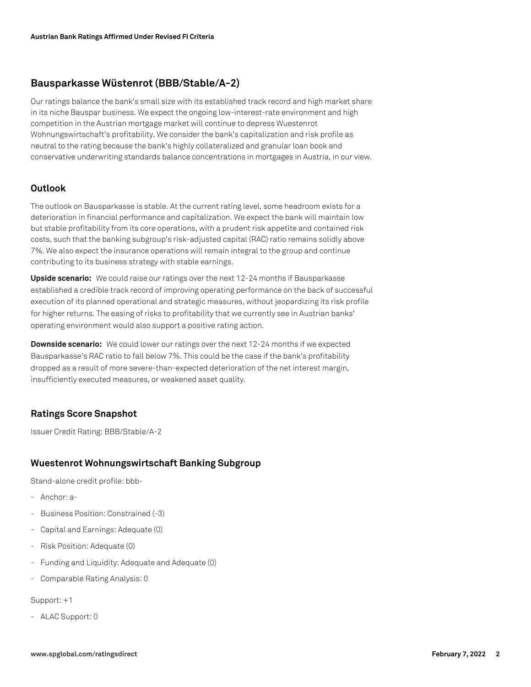# **Bausparkasse Wüstenrot (BBB/Stable/A-2)**

Our ratings balance the bank's small size with its established track record and high market share in its niche Bauspar business. We expect the ongoing low-interest-rate environment and high competition in the Austrian mortgage market will continue to depress Wuestenrot Wohnungswirtschaft's profitability. We consider the bank's capitalization and risk profile as neutral to the rating because the bank's highly collateralized and granular loan book and conservative underwriting standards balance concentrations in mortgages in Austria, in our view.

#### **Outlook**

The outlook on Bausparkasse is stable. At the current rating level, some headroom exists for a deterioration in financial performance and capitalization. We expect the bank will maintain low but stable profitability from its core operations, with a prudent risk appetite and contained risk costs, such that the banking subgroup's risk-adjusted capital (RAC) ratio remains solidly above 7%. We also expect the insurance operations will remain integral to the group and continue contributing to its business strategy with stable earnings.

**Upside scenario:** We could raise our ratings over the next 12-24 months if Bausparkasse established a credible track record of improving operating performance on the back of successful execution of its planned operational and strategic measures, without jeopardizing its risk profile for higher returns. The easing of risks to profitability that we currently see in Austrian banks' operating environment would also support a positive rating action.

**Downside scenario:** We could lower our ratings over the next 12-24 months if we expected Bausparkasse's RAC ratio to fall below 7%. This could be the case if the bank's profitability dropped as a result of more severe-than-expected deterioration of the net interest margin, insufficiently executed measures, or weakened asset quality.

#### **Ratings Score Snapshot**

Issuer Credit Rating: BBB/Stable/A-2

#### **Wuestenrot Wohnungswirtschaft Banking Subgroup**

Stand-alone credit profile: bbb-

- Anchor: a-
- Business Position: Constrained (-3)
- Capital and Earnings: Adequate (0)
- Risk Position: Adequate (0)
- Funding and Liquidity: Adequate and Adequate (0)
- Comparable Rating Analysis: 0

Support: +1

- ALAC Support: 0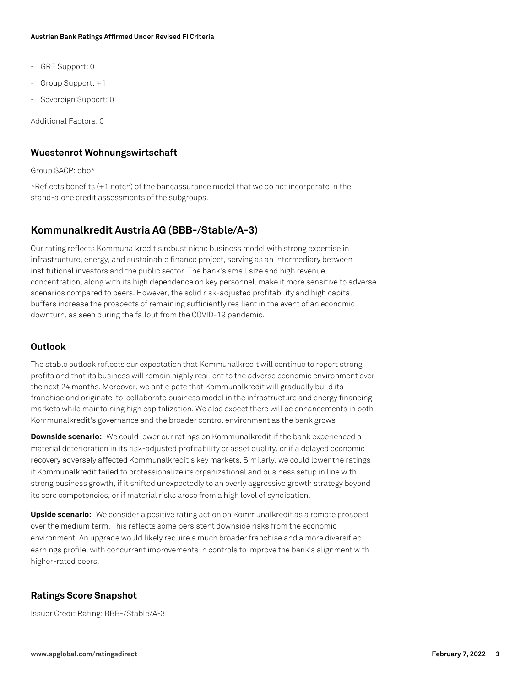- GRE Support: 0
- Group Support: +1
- Sovereign Support: 0

Additional Factors: 0

#### **Wuestenrot Wohnungswirtschaft**

Group SACP: bbb\*

\*Reflects benefits (+1 notch) of the bancassurance model that we do not incorporate in the stand-alone credit assessments of the subgroups.

# **Kommunalkredit Austria AG (BBB-/Stable/A-3)**

Our rating reflects Kommunalkredit's robust niche business model with strong expertise in infrastructure, energy, and sustainable finance project, serving as an intermediary between institutional investors and the public sector. The bank's small size and high revenue concentration, along with its high dependence on key personnel, make it more sensitive to adverse scenarios compared to peers. However, the solid risk-adjusted profitability and high capital buffers increase the prospects of remaining sufficiently resilient in the event of an economic downturn, as seen during the fallout from the COVID-19 pandemic.

#### **Outlook**

The stable outlook reflects our expectation that Kommunalkredit will continue to report strong profits and that its business will remain highly resilient to the adverse economic environment over the next 24 months. Moreover, we anticipate that Kommunalkredit will gradually build its franchise and originate-to-collaborate business model in the infrastructure and energy financing markets while maintaining high capitalization. We also expect there will be enhancements in both Kommunalkredit's governance and the broader control environment as the bank grows

**Downside scenario:** We could lower our ratings on Kommunalkredit if the bank experienced a material deterioration in its risk-adjusted profitability or asset quality, or if a delayed economic recovery adversely affected Kommunalkredit's key markets. Similarly, we could lower the ratings if Kommunalkredit failed to professionalize its organizational and business setup in line with strong business growth, if it shifted unexpectedly to an overly aggressive growth strategy beyond its core competencies, or if material risks arose from a high level of syndication.

**Upside scenario:** We consider a positive rating action on Kommunalkredit as a remote prospect over the medium term. This reflects some persistent downside risks from the economic environment. An upgrade would likely require a much broader franchise and a more diversified earnings profile, with concurrent improvements in controls to improve the bank's alignment with higher-rated peers.

#### **Ratings Score Snapshot**

Issuer Credit Rating: BBB-/Stable/A-3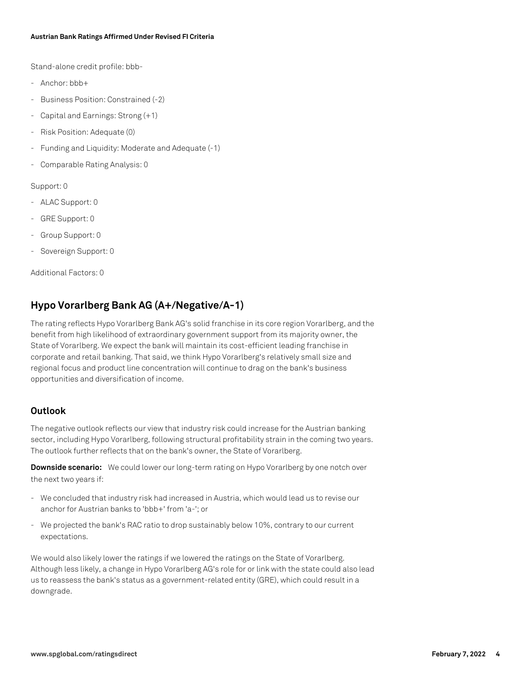Stand-alone credit profile: bbb-

- Anchor: bbb+
- Business Position: Constrained (-2)
- Capital and Earnings: Strong (+1)
- Risk Position: Adequate (0)
- Funding and Liquidity: Moderate and Adequate (-1)
- Comparable Rating Analysis: 0

Support: 0

- ALAC Support: 0
- GRE Support: 0
- Group Support: 0
- Sovereign Support: 0

Additional Factors: 0

# **Hypo Vorarlberg Bank AG (A+/Negative/A-1)**

The rating reflects Hypo Vorarlberg Bank AG's solid franchise in its core region Vorarlberg, and the benefit from high likelihood of extraordinary government support from its majority owner, the State of Vorarlberg. We expect the bank will maintain its cost-efficient leading franchise in corporate and retail banking. That said, we think Hypo Vorarlberg's relatively small size and regional focus and product line concentration will continue to drag on the bank's business opportunities and diversification of income.

#### **Outlook**

The negative outlook reflects our view that industry risk could increase for the Austrian banking sector, including Hypo Vorarlberg, following structural profitability strain in the coming two years. The outlook further reflects that on the bank's owner, the State of Vorarlberg.

**Downside scenario:** We could lower our long-term rating on Hypo Vorarlberg by one notch over the next two years if:

- We concluded that industry risk had increased in Austria, which would lead us to revise our anchor for Austrian banks to 'bbb+' from 'a-'; or
- We projected the bank's RAC ratio to drop sustainably below 10%, contrary to our current expectations.

We would also likely lower the ratings if we lowered the ratings on the State of Vorarlberg. Although less likely, a change in Hypo Vorarlberg AG's role for or link with the state could also lead us to reassess the bank's status as a government-related entity (GRE), which could result in a downgrade.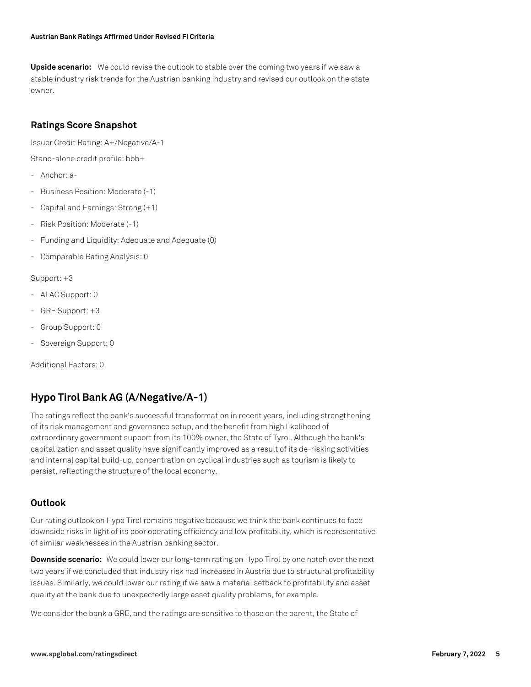**Upside scenario:** We could revise the outlook to stable over the coming two years if we saw a stable industry risk trends for the Austrian banking industry and revised our outlook on the state owner.

#### **Ratings Score Snapshot**

Issuer Credit Rating: A+/Negative/A-1

Stand-alone credit profile: bbb+

- Anchor: a-
- Business Position: Moderate (-1)
- Capital and Earnings: Strong (+1)
- Risk Position: Moderate (-1)
- Funding and Liquidity: Adequate and Adequate (0)
- Comparable Rating Analysis: 0

Support: +3

- ALAC Support: 0
- GRE Support: +3
- Group Support: 0
- Sovereign Support: 0

Additional Factors: 0

# **Hypo Tirol Bank AG (A/Negative/A-1)**

The ratings reflect the bank's successful transformation in recent years, including strengthening of its risk management and governance setup, and the benefit from high likelihood of extraordinary government support from its 100% owner, the State of Tyrol. Although the bank's capitalization and asset quality have significantly improved as a result of its de-risking activities and internal capital build-up, concentration on cyclical industries such as tourism is likely to persist, reflecting the structure of the local economy.

# **Outlook**

Our rating outlook on Hypo Tirol remains negative because we think the bank continues to face downside risks in light of its poor operating efficiency and low profitability, which is representative of similar weaknesses in the Austrian banking sector.

**Downside scenario:** We could lower our long-term rating on Hypo Tirol by one notch over the next two years if we concluded that industry risk had increased in Austria due to structural profitability issues. Similarly, we could lower our rating if we saw a material setback to profitability and asset quality at the bank due to unexpectedly large asset quality problems, for example.

We consider the bank a GRE, and the ratings are sensitive to those on the parent, the State of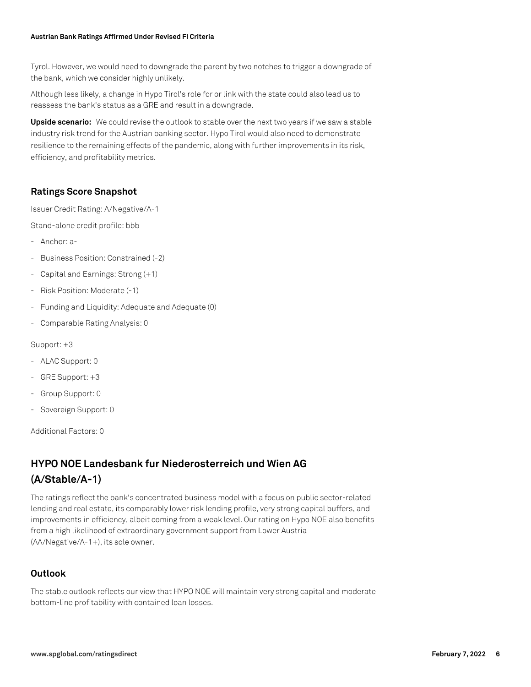Tyrol. However, we would need to downgrade the parent by two notches to trigger a downgrade of the bank, which we consider highly unlikely.

Although less likely, a change in Hypo Tirol's role for or link with the state could also lead us to reassess the bank's status as a GRE and result in a downgrade.

**Upside scenario:** We could revise the outlook to stable over the next two years if we saw a stable industry risk trend for the Austrian banking sector. Hypo Tirol would also need to demonstrate resilience to the remaining effects of the pandemic, along with further improvements in its risk, efficiency, and profitability metrics.

# **Ratings Score Snapshot**

Issuer Credit Rating: A/Negative/A-1

Stand-alone credit profile: bbb

- Anchor: a-
- Business Position: Constrained (-2)
- Capital and Earnings: Strong (+1)
- Risk Position: Moderate (-1)
- Funding and Liquidity: Adequate and Adequate (0)
- Comparable Rating Analysis: 0

Support: +3

- ALAC Support: 0
- GRE Support: +3
- Group Support: 0
- Sovereign Support: 0

Additional Factors: 0

# **HYPO NOE Landesbank fur Niederosterreich und Wien AG (A/Stable/A-1)**

The ratings reflect the bank's concentrated business model with a focus on public sector-related lending and real estate, its comparably lower risk lending profile, very strong capital buffers, and improvements in efficiency, albeit coming from a weak level. Our rating on Hypo NOE also benefits from a high likelihood of extraordinary government support from Lower Austria (AA/Negative/A-1+), its sole owner.

#### **Outlook**

The stable outlook reflects our view that HYPO NOE will maintain very strong capital and moderate bottom-line profitability with contained loan losses.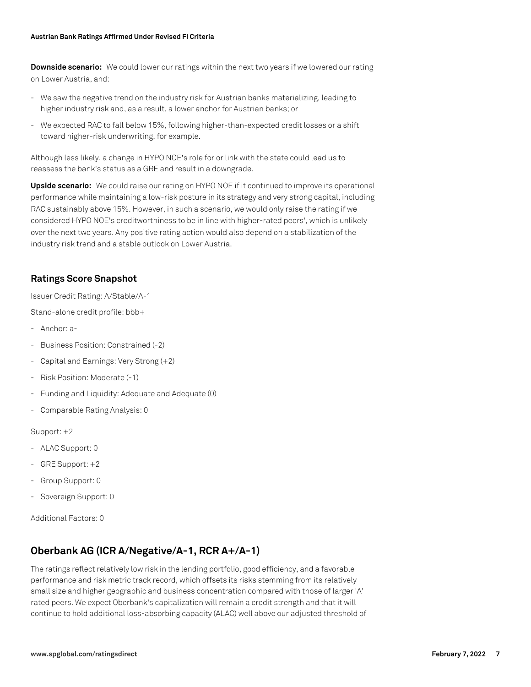**Downside scenario:** We could lower our ratings within the next two years if we lowered our rating on Lower Austria, and:

- We saw the negative trend on the industry risk for Austrian banks materializing, leading to higher industry risk and, as a result, a lower anchor for Austrian banks; or
- We expected RAC to fall below 15%, following higher-than-expected credit losses or a shift toward higher-risk underwriting, for example.

Although less likely, a change in HYPO NOE's role for or link with the state could lead us to reassess the bank's status as a GRE and result in a downgrade.

**Upside scenario:** We could raise our rating on HYPO NOE if it continued to improve its operational performance while maintaining a low-risk posture in its strategy and very strong capital, including RAC sustainably above 15%. However, in such a scenario, we would only raise the rating if we considered HYPO NOE's creditworthiness to be in line with higher-rated peers', which is unlikely over the next two years. Any positive rating action would also depend on a stabilization of the industry risk trend and a stable outlook on Lower Austria.

#### **Ratings Score Snapshot**

Issuer Credit Rating: A/Stable/A-1

Stand-alone credit profile: bbb+

- Anchor: a-
- Business Position: Constrained (-2)
- Capital and Earnings: Very Strong (+2)
- Risk Position: Moderate (-1)
- Funding and Liquidity: Adequate and Adequate (0)
- Comparable Rating Analysis: 0

Support: +2

- ALAC Support: 0
- GRE Support: +2
- Group Support: 0
- Sovereign Support: 0

Additional Factors: 0

# **Oberbank AG (ICR A/Negative/A-1, RCR A+/A-1)**

The ratings reflect relatively low risk in the lending portfolio, good efficiency, and a favorable performance and risk metric track record, which offsets its risks stemming from its relatively small size and higher geographic and business concentration compared with those of larger 'A' rated peers. We expect Oberbank's capitalization will remain a credit strength and that it will continue to hold additional loss-absorbing capacity (ALAC) well above our adjusted threshold of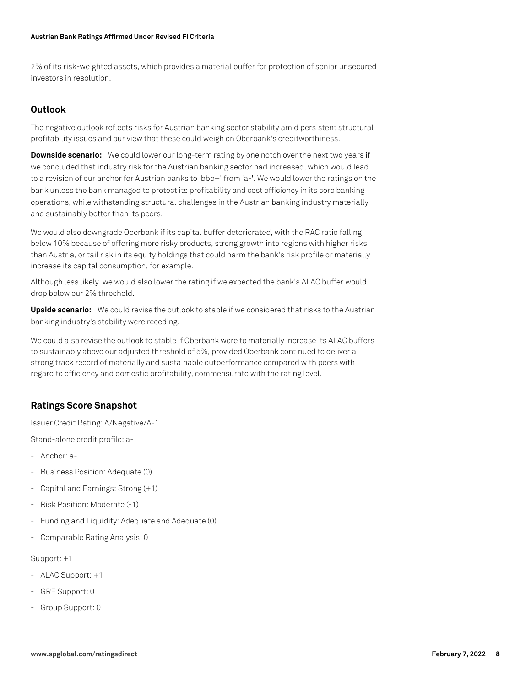2% of its risk-weighted assets, which provides a material buffer for protection of senior unsecured investors in resolution.

#### **Outlook**

The negative outlook reflects risks for Austrian banking sector stability amid persistent structural profitability issues and our view that these could weigh on Oberbank's creditworthiness.

**Downside scenario:** We could lower our long-term rating by one notch over the next two years if we concluded that industry risk for the Austrian banking sector had increased, which would lead to a revision of our anchor for Austrian banks to 'bbb+' from 'a-'. We would lower the ratings on the bank unless the bank managed to protect its profitability and cost efficiency in its core banking operations, while withstanding structural challenges in the Austrian banking industry materially and sustainably better than its peers.

We would also downgrade Oberbank if its capital buffer deteriorated, with the RAC ratio falling below 10% because of offering more risky products, strong growth into regions with higher risks than Austria, or tail risk in its equity holdings that could harm the bank's risk profile or materially increase its capital consumption, for example.

Although less likely, we would also lower the rating if we expected the bank's ALAC buffer would drop below our 2% threshold.

**Upside scenario:** We could revise the outlook to stable if we considered that risks to the Austrian banking industry's stability were receding.

We could also revise the outlook to stable if Oberbank were to materially increase its ALAC buffers to sustainably above our adjusted threshold of 5%, provided Oberbank continued to deliver a strong track record of materially and sustainable outperformance compared with peers with regard to efficiency and domestic profitability, commensurate with the rating level.

#### **Ratings Score Snapshot**

Issuer Credit Rating: A/Negative/A-1

Stand-alone credit profile: a-

- Anchor: a-
- Business Position: Adequate (0)
- Capital and Earnings: Strong (+1)
- Risk Position: Moderate (-1)
- Funding and Liquidity: Adequate and Adequate (0)
- Comparable Rating Analysis: 0

#### Support: +1

- ALAC Support: +1
- GRE Support: 0
- Group Support: 0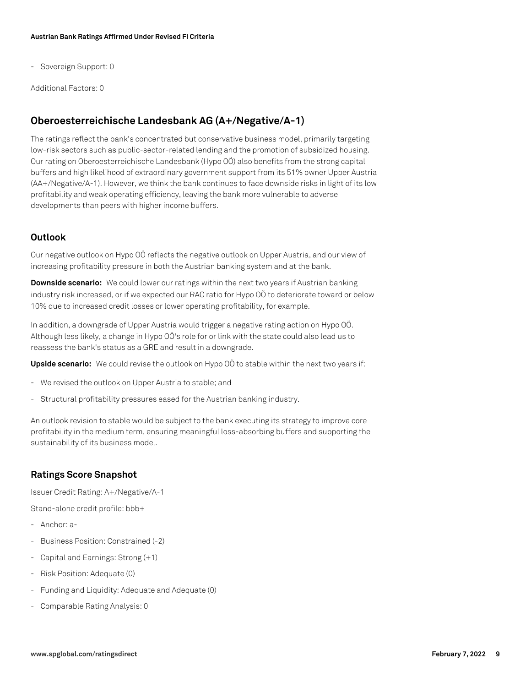- Sovereign Support: 0

Additional Factors: 0

# **Oberoesterreichische Landesbank AG (A+/Negative/A-1)**

The ratings reflect the bank's concentrated but conservative business model, primarily targeting low-risk sectors such as public-sector-related lending and the promotion of subsidized housing. Our rating on Oberoesterreichische Landesbank (Hypo OÖ) also benefits from the strong capital buffers and high likelihood of extraordinary government support from its 51% owner Upper Austria (AA+/Negative/A-1). However, we think the bank continues to face downside risks in light of its low profitability and weak operating efficiency, leaving the bank more vulnerable to adverse developments than peers with higher income buffers.

#### **Outlook**

Our negative outlook on Hypo OÖ reflects the negative outlook on Upper Austria, and our view of increasing profitability pressure in both the Austrian banking system and at the bank.

**Downside scenario:** We could lower our ratings within the next two years if Austrian banking industry risk increased, or if we expected our RAC ratio for Hypo OÖ to deteriorate toward or below 10% due to increased credit losses or lower operating profitability, for example.

In addition, a downgrade of Upper Austria would trigger a negative rating action on Hypo OÖ. Although less likely, a change in Hypo OÖ's role for or link with the state could also lead us to reassess the bank's status as a GRE and result in a downgrade.

**Upside scenario:** We could revise the outlook on Hypo OÖ to stable within the next two years if:

- We revised the outlook on Upper Austria to stable; and
- Structural profitability pressures eased for the Austrian banking industry.

An outlook revision to stable would be subject to the bank executing its strategy to improve core profitability in the medium term, ensuring meaningful loss-absorbing buffers and supporting the sustainability of its business model.

#### **Ratings Score Snapshot**

Issuer Credit Rating: A+/Negative/A-1

Stand-alone credit profile: bbb+

- Anchor: a-
- Business Position: Constrained (-2)
- Capital and Earnings: Strong (+1)
- Risk Position: Adequate (0)
- Funding and Liquidity: Adequate and Adequate (0)
- Comparable Rating Analysis: 0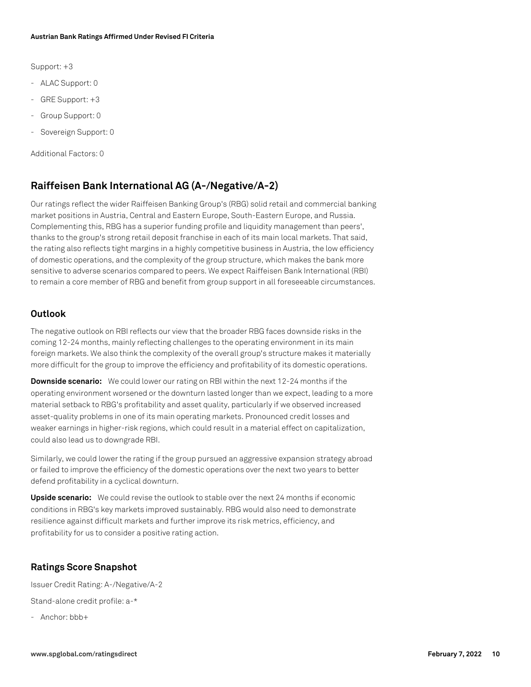Support: +3

- ALAC Support: 0
- GRE Support: +3
- Group Support: 0
- Sovereign Support: 0

Additional Factors: 0

# **Raiffeisen Bank International AG (A-/Negative/A-2)**

Our ratings reflect the wider Raiffeisen Banking Group's (RBG) solid retail and commercial banking market positions in Austria, Central and Eastern Europe, South-Eastern Europe, and Russia. Complementing this, RBG has a superior funding profile and liquidity management than peers', thanks to the group's strong retail deposit franchise in each of its main local markets. That said, the rating also reflects tight margins in a highly competitive business in Austria, the low efficiency of domestic operations, and the complexity of the group structure, which makes the bank more sensitive to adverse scenarios compared to peers. We expect Raiffeisen Bank International (RBI) to remain a core member of RBG and benefit from group support in all foreseeable circumstances.

#### **Outlook**

The negative outlook on RBI reflects our view that the broader RBG faces downside risks in the coming 12-24 months, mainly reflecting challenges to the operating environment in its main foreign markets. We also think the complexity of the overall group's structure makes it materially more difficult for the group to improve the efficiency and profitability of its domestic operations.

**Downside scenario:** We could lower our rating on RBI within the next 12-24 months if the operating environment worsened or the downturn lasted longer than we expect, leading to a more material setback to RBG's profitability and asset quality, particularly if we observed increased asset-quality problems in one of its main operating markets. Pronounced credit losses and weaker earnings in higher-risk regions, which could result in a material effect on capitalization, could also lead us to downgrade RBI.

Similarly, we could lower the rating if the group pursued an aggressive expansion strategy abroad or failed to improve the efficiency of the domestic operations over the next two years to better defend profitability in a cyclical downturn.

**Upside scenario:** We could revise the outlook to stable over the next 24 months if economic conditions in RBG's key markets improved sustainably. RBG would also need to demonstrate resilience against difficult markets and further improve its risk metrics, efficiency, and profitability for us to consider a positive rating action.

#### **Ratings Score Snapshot**

Issuer Credit Rating: A-/Negative/A-2

Stand-alone credit profile: a-\*

- Anchor: bbb+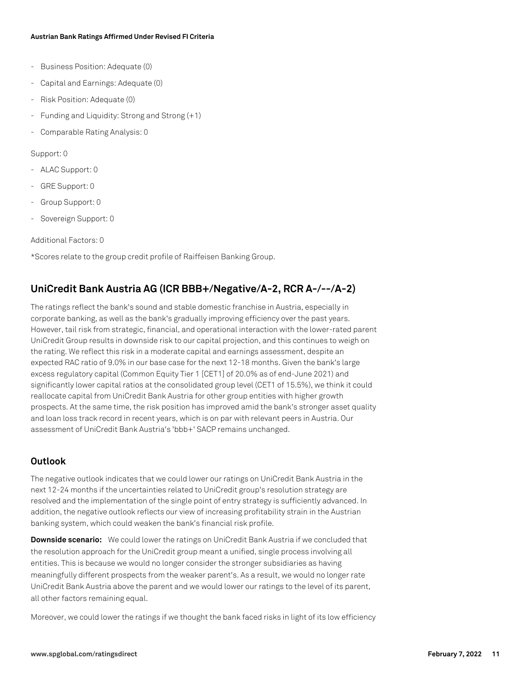- Business Position: Adequate (0)
- Capital and Earnings: Adequate (0)
- Risk Position: Adequate (0)
- Funding and Liquidity: Strong and Strong (+1)
- Comparable Rating Analysis: 0

#### Support: 0

- ALAC Support: 0
- GRE Support: 0
- Group Support: 0
- Sovereign Support: 0

Additional Factors: 0

\*Scores relate to the group credit profile of Raiffeisen Banking Group.

# **UniCredit Bank Austria AG (ICR BBB+/Negative/A-2, RCR A-/--/A-2)**

The ratings reflect the bank's sound and stable domestic franchise in Austria, especially in corporate banking, as well as the bank's gradually improving efficiency over the past years. However, tail risk from strategic, financial, and operational interaction with the lower-rated parent UniCredit Group results in downside risk to our capital projection, and this continues to weigh on the rating. We reflect this risk in a moderate capital and earnings assessment, despite an expected RAC ratio of 9.0% in our base case for the next 12-18 months. Given the bank's large excess regulatory capital (Common Equity Tier 1 [CET1] of 20.0% as of end-June 2021) and significantly lower capital ratios at the consolidated group level (CET1 of 15.5%), we think it could reallocate capital from UniCredit Bank Austria for other group entities with higher growth prospects. At the same time, the risk position has improved amid the bank's stronger asset quality and loan loss track record in recent years, which is on par with relevant peers in Austria. Our assessment of UniCredit Bank Austria's 'bbb+' SACP remains unchanged.

#### **Outlook**

The negative outlook indicates that we could lower our ratings on UniCredit Bank Austria in the next 12-24 months if the uncertainties related to UniCredit group's resolution strategy are resolved and the implementation of the single point of entry strategy is sufficiently advanced. In addition, the negative outlook reflects our view of increasing profitability strain in the Austrian banking system, which could weaken the bank's financial risk profile.

**Downside scenario:** We could lower the ratings on UniCredit Bank Austria if we concluded that the resolution approach for the UniCredit group meant a unified, single process involving all entities. This is because we would no longer consider the stronger subsidiaries as having meaningfully different prospects from the weaker parent's. As a result, we would no longer rate UniCredit Bank Austria above the parent and we would lower our ratings to the level of its parent, all other factors remaining equal.

Moreover, we could lower the ratings if we thought the bank faced risks in light of its low efficiency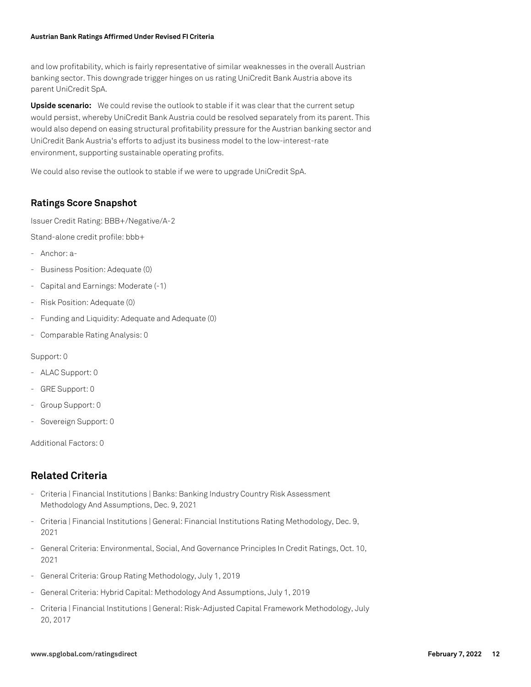and low profitability, which is fairly representative of similar weaknesses in the overall Austrian banking sector. This downgrade trigger hinges on us rating UniCredit Bank Austria above its parent UniCredit SpA.

**Upside scenario:** We could revise the outlook to stable if it was clear that the current setup would persist, whereby UniCredit Bank Austria could be resolved separately from its parent. This would also depend on easing structural profitability pressure for the Austrian banking sector and UniCredit Bank Austria's efforts to adjust its business model to the low-interest-rate environment, supporting sustainable operating profits.

We could also revise the outlook to stable if we were to upgrade UniCredit SpA.

# **Ratings Score Snapshot**

Issuer Credit Rating: BBB+/Negative/A-2

Stand-alone credit profile: bbb+

- Anchor: a-
- Business Position: Adequate (0)
- Capital and Earnings: Moderate (-1)
- Risk Position: Adequate (0)
- Funding and Liquidity: Adequate and Adequate (0)
- Comparable Rating Analysis: 0

#### Support: 0

- ALAC Support: 0
- GRE Support: 0
- Group Support: 0
- Sovereign Support: 0

Additional Factors: 0

# **Related Criteria**

- Criteria | Financial Institutions | Banks: Banking Industry Country Risk Assessment Methodology And Assumptions, Dec. 9, 2021
- Criteria | Financial Institutions | General: Financial Institutions Rating Methodology, Dec. 9, 2021
- General Criteria: Environmental, Social, And Governance Principles In Credit Ratings, Oct. 10, 2021
- General Criteria: Group Rating Methodology, July 1, 2019
- General Criteria: Hybrid Capital: Methodology And Assumptions, July 1, 2019
- Criteria | Financial Institutions | General: Risk-Adjusted Capital Framework Methodology, July 20, 2017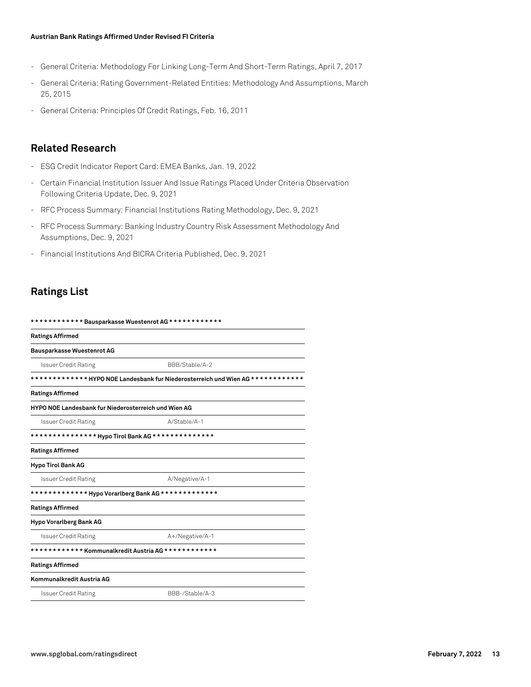- General Criteria: Methodology For Linking Long-Term And Short-Term Ratings, April 7, 2017
- General Criteria: Rating Government-Related Entities: Methodology And Assumptions, March 25, 2015
- General Criteria: Principles Of Credit Ratings, Feb. 16, 2011

#### **Related Research**

- ESG Credit Indicator Report Card: EMEA Banks, Jan. 19, 2022
- Certain Financial Institution Issuer And Issue Ratings Placed Under Criteria Observation Following Criteria Update, Dec. 9, 2021
- RFC Process Summary: Financial Institutions Rating Methodology, Dec. 9, 2021
- RFC Process Summary: Banking Industry Country Risk Assessment Methodology And Assumptions, Dec. 9, 2021
- Financial Institutions And BICRA Criteria Published, Dec. 9, 2021

# **Ratings List**

| ************ Bausparkasse Wuestenrot AG ************<br><b>Issuer Credit Rating</b><br>BBB/Stable/A-2<br>*************HYPO NOE Landesbank fur Niederosterreich und Wien AG************<br>HYPO NOE Landesbank fur Niederosterreich und Wien AG<br>A/Stable/A-1<br><b>Issuer Credit Rating</b><br><b>Issuer Credit Rating</b><br>A/Negative/A-1 |                 |  |
|------------------------------------------------------------------------------------------------------------------------------------------------------------------------------------------------------------------------------------------------------------------------------------------------------------------------------------------------|-----------------|--|
| <b>Ratings Affirmed</b>                                                                                                                                                                                                                                                                                                                        |                 |  |
| <b>Bausparkasse Wuestenrot AG</b>                                                                                                                                                                                                                                                                                                              |                 |  |
|                                                                                                                                                                                                                                                                                                                                                |                 |  |
|                                                                                                                                                                                                                                                                                                                                                |                 |  |
| <b>Ratings Affirmed</b>                                                                                                                                                                                                                                                                                                                        |                 |  |
|                                                                                                                                                                                                                                                                                                                                                |                 |  |
|                                                                                                                                                                                                                                                                                                                                                |                 |  |
|                                                                                                                                                                                                                                                                                                                                                |                 |  |
| <b>Ratings Affirmed</b>                                                                                                                                                                                                                                                                                                                        |                 |  |
| <b>Hypo Tirol Bank AG</b>                                                                                                                                                                                                                                                                                                                      |                 |  |
|                                                                                                                                                                                                                                                                                                                                                |                 |  |
|                                                                                                                                                                                                                                                                                                                                                |                 |  |
| <b>Ratings Affirmed</b>                                                                                                                                                                                                                                                                                                                        |                 |  |
| Hypo Vorarlberg Bank AG                                                                                                                                                                                                                                                                                                                        |                 |  |
| <b>Issuer Credit Rating</b>                                                                                                                                                                                                                                                                                                                    | A+/Negative/A-1 |  |
|                                                                                                                                                                                                                                                                                                                                                |                 |  |
| <b>Ratings Affirmed</b>                                                                                                                                                                                                                                                                                                                        |                 |  |
| Kommunalkredit Austria AG                                                                                                                                                                                                                                                                                                                      |                 |  |
| <b>Issuer Credit Rating</b>                                                                                                                                                                                                                                                                                                                    | BBB-/Stable/A-3 |  |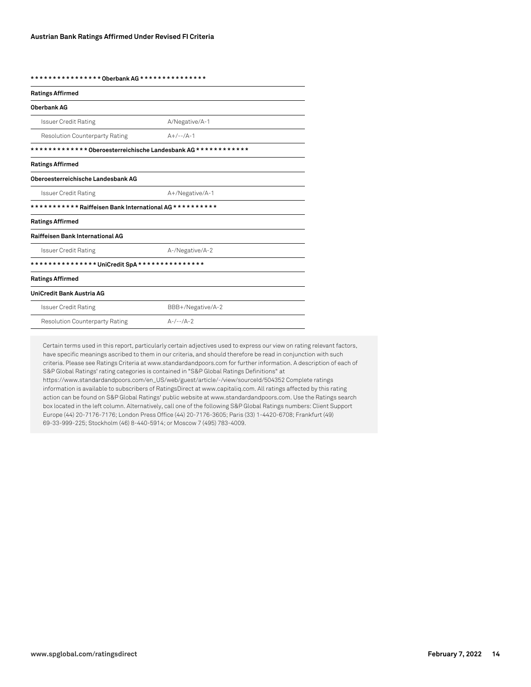**\* \* \* \* \* \* \* \* \* \* \* \* \* \* \* \* Oberbank AG \* \* \* \* \* \* \* \* \* \* \* \* \* \* \***

| <b>Ratings Affirmed</b>                                     |                   |  |
|-------------------------------------------------------------|-------------------|--|
| <b>Oberbank AG</b>                                          |                   |  |
| <b>Issuer Credit Rating</b>                                 | A/Negative/A-1    |  |
| <b>Resolution Counterparty Rating</b>                       | $A+/-$ -/ $A-1$   |  |
| ************ Oberoesterreichische Landesbank AG************ |                   |  |
| <b>Ratings Affirmed</b>                                     |                   |  |
| Oberoesterreichische Landesbank AG                          |                   |  |
| <b>Issuer Credit Rating</b>                                 | A+/Negative/A-1   |  |
| *********** Raiffeisen Bank International AG **********     |                   |  |
| <b>Ratings Affirmed</b>                                     |                   |  |
| <b>Raiffeisen Bank International AG</b>                     |                   |  |
| <b>Issuer Credit Rating</b>                                 | A-/Negative/A-2   |  |
|                                                             |                   |  |
| <b>Ratings Affirmed</b>                                     |                   |  |
| UniCredit Bank Austria AG                                   |                   |  |
| <b>Issuer Credit Rating</b>                                 | BBB+/Negative/A-2 |  |
| <b>Resolution Counterparty Rating</b>                       | $A-/--/A-2$       |  |

Certain terms used in this report, particularly certain adjectives used to express our view on rating relevant factors, have specific meanings ascribed to them in our criteria, and should therefore be read in conjunction with such criteria. Please see Ratings Criteria at www.standardandpoors.com for further information. A description of each of S&P Global Ratings' rating categories is contained in "S&P Global Ratings Definitions" at https://www.standardandpoors.com/en\_US/web/guest/article/-/view/sourceId/504352 Complete ratings information is available to subscribers of RatingsDirect at www.capitaliq.com. All ratings affected by this rating action can be found on S&P Global Ratings' public website at www.standardandpoors.com. Use the Ratings search box located in the left column. Alternatively, call one of the following S&P Global Ratings numbers: Client Support Europe (44) 20-7176-7176; London Press Office (44) 20-7176-3605; Paris (33) 1-4420-6708; Frankfurt (49) 69-33-999-225; Stockholm (46) 8-440-5914; or Moscow 7 (495) 783-4009.